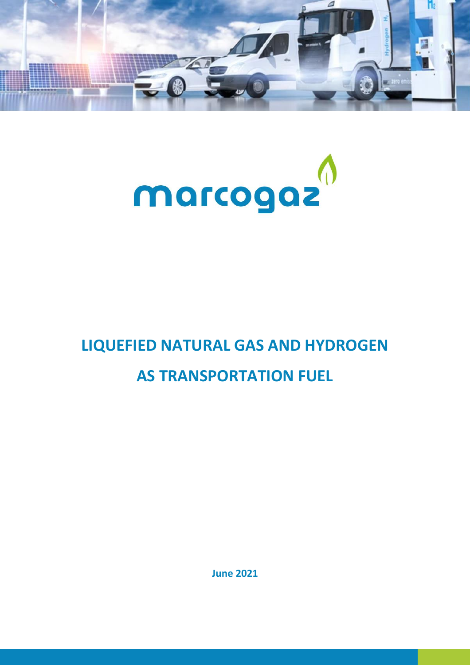



# **LIQUEFIED NATURAL GAS AND HYDROGEN AS TRANSPORTATION FUEL**

**June 2021**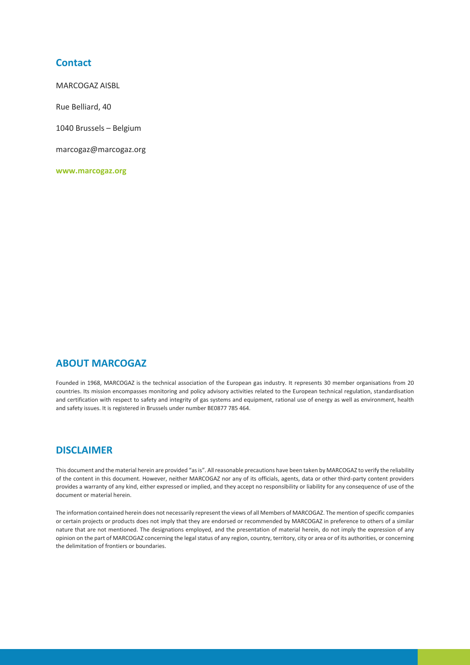## **Contact**

MARCOGAZ AISBL

Rue Belliard, 40

1040 Brussels – Belgium

marcogaz@marcogaz.org

**www.marcogaz.org**

# **ABOUT MARCOGAZ**

Founded in 1968, MARCOGAZ is the technical association of the European gas industry. It represents 30 member organisations from 20 countries. Its mission encompasses monitoring and policy advisory activities related to the European technical regulation, standardisation and certification with respect to safety and integrity of gas systems and equipment, rational use of energy as well as environment, health and safety issues. It is registered in Brussels under number BE0877 785 464.

# **DISCLAIMER**

This document and the material herein are provided "as is". All reasonable precautions have been taken by MARCOGAZ to verify the reliability of the content in this document. However, neither MARCOGAZ nor any of its officials, agents, data or other third-party content providers provides a warranty of any kind, either expressed or implied, and they accept no responsibility or liability for any consequence of use of the document or material herein.

The information contained herein does not necessarily represent the views of all Members of MARCOGAZ. The mention of specific companies or certain projects or products does not imply that they are endorsed or recommended by MARCOGAZ in preference to others of a similar nature that are not mentioned. The designations employed, and the presentation of material herein, do not imply the expression of any opinion on the part of MARCOGAZ concerning the legal status of any region, country, territory, city or area or of its authorities, or concerning the delimitation of frontiers or boundaries.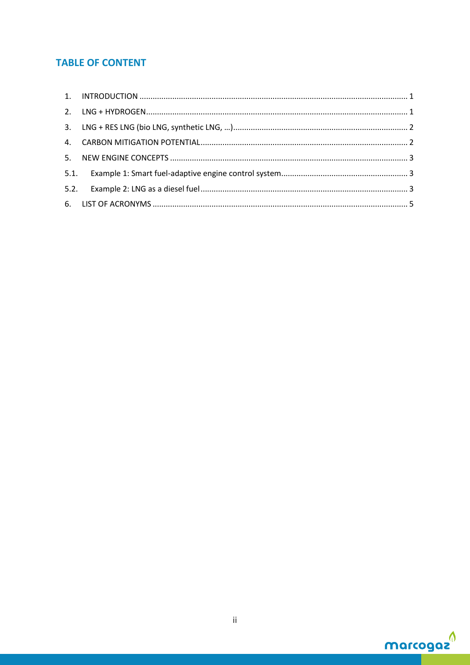# **TABLE OF CONTENT**

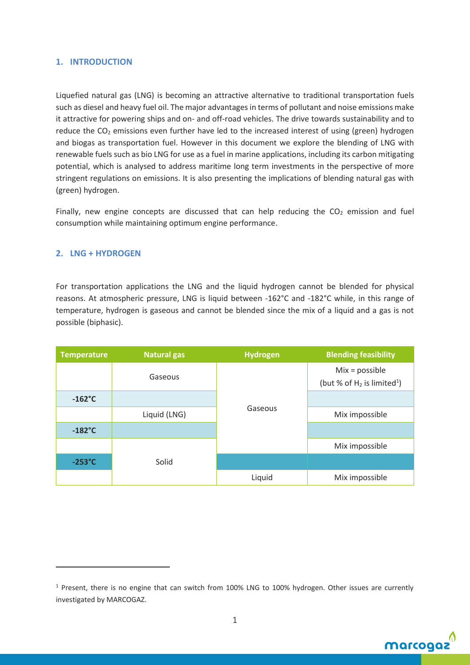#### <span id="page-3-0"></span>**1. INTRODUCTION**

Liquefied natural gas (LNG) is becoming an attractive alternative to traditional transportation fuels such as diesel and heavy fuel oil. The major advantages in terms of pollutant and noise emissions make it attractive for powering ships and on- and off-road vehicles. The drive towards sustainability and to reduce the  $CO<sub>2</sub>$  emissions even further have led to the increased interest of using (green) hydrogen and biogas as transportation fuel. However in this document we explore the blending of LNG with renewable fuels such as bio LNG for use as a fuel in marine applications, including its carbon mitigating potential, which is analysed to address maritime long term investments in the perspective of more stringent regulations on emissions. It is also presenting the implications of blending natural gas with (green) hydrogen.

Finally, new engine concepts are discussed that can help reducing the  $CO<sub>2</sub>$  emission and fuel consumption while maintaining optimum engine performance.

#### <span id="page-3-1"></span>**2. LNG + HYDROGEN**

For transportation applications the LNG and the liquid hydrogen cannot be blended for physical reasons. At atmospheric pressure, LNG is liquid between -162°C and -182°C while, in this range of temperature, hydrogen is gaseous and cannot be blended since the mix of a liquid and a gas is not possible (biphasic).

| <b>Temperature</b> | <b>Natural gas</b> | <b>Hydrogen</b> | <b>Blending feasibility</b>                                   |
|--------------------|--------------------|-----------------|---------------------------------------------------------------|
|                    | Gaseous            |                 | $Mix = possible$<br>(but % of $H_2$ is limited <sup>1</sup> ) |
| $-162^{\circ}C$    |                    |                 |                                                               |
|                    | Liquid (LNG)       | Gaseous         | Mix impossible                                                |
| $-182^{\circ}$ C   |                    |                 |                                                               |
|                    |                    |                 | Mix impossible                                                |
| $-253^{\circ}C$    | Solid              |                 |                                                               |
|                    |                    | Liquid          | Mix impossible                                                |

<sup>1</sup> Present, there is no engine that can switch from 100% LNG to 100% hydrogen. Other issues are currently investigated by MARCOGAZ.

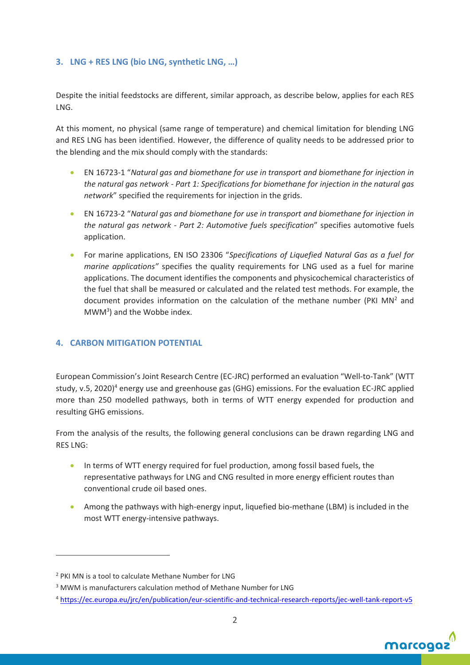#### <span id="page-4-0"></span>**3. LNG + RES LNG (bio LNG, synthetic LNG, …)**

Despite the initial feedstocks are different, similar approach, as describe below, applies for each RES LNG.

At this moment, no physical (same range of temperature) and chemical limitation for blending LNG and RES LNG has been identified. However, the difference of quality needs to be addressed prior to the blending and the mix should comply with the standards:

- EN 16723-1 "*Natural gas and biomethane for use in transport and biomethane for injection in the natural gas network - Part 1: Specifications for biomethane for injection in the natural gas network*" specified the requirements for injection in the grids.
- EN 16723-2 "*Natural gas and biomethane for use in transport and biomethane for injection in the natural gas network - Part 2: Automotive fuels specification*" specifies automotive fuels application.
- For marine applications, EN ISO 23306 "*Specifications of Liquefied Natural Gas as a fuel for marine applications"* specifies the quality requirements for LNG used as a fuel for marine applications. The document identifies the components and physicochemical characteristics of the fuel that shall be measured or calculated and the related test methods. For example, the document provides information on the calculation of the methane number (PKI  $MN<sup>2</sup>$  and  $MWM<sup>3</sup>$ ) and the Wobbe index.

#### <span id="page-4-1"></span>**4. CARBON MITIGATION POTENTIAL**

European Commission's Joint Research Centre (EC-JRC) performed an evaluation "Well-to-Tank" (WTT study, v.5, 2020)<sup>4</sup> energy use and greenhouse gas (GHG) emissions. For the evaluation EC-JRC applied more than 250 modelled pathways, both in terms of WTT energy expended for production and resulting GHG emissions.

From the analysis of the results, the following general conclusions can be drawn regarding LNG and RES LNG:

- In terms of WTT energy required for fuel production, among fossil based fuels, the representative pathways for LNG and CNG resulted in more energy efficient routes than conventional crude oil based ones.
- Among the pathways with high-energy input, liquefied bio-methane (LBM) is included in the most WTT energy-intensive pathways.

<sup>4</sup> <https://ec.europa.eu/jrc/en/publication/eur-scientific-and-technical-research-reports/jec-well-tank-report-v5>



<sup>&</sup>lt;sup>2</sup> PKI MN is a tool to calculate Methane Number for LNG

<sup>&</sup>lt;sup>3</sup> MWM is manufacturers calculation method of Methane Number for LNG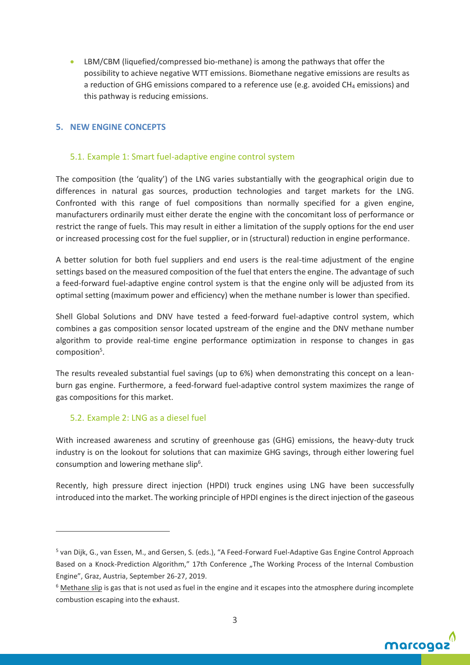• LBM/CBM (liquefied/compressed bio-methane) is among the pathways that offer the possibility to achieve negative WTT emissions. Biomethane negative emissions are results as a reduction of GHG emissions compared to a reference use (e.g. avoided  $CH_4$  emissions) and this pathway is reducing emissions.

#### <span id="page-5-0"></span>**5. NEW ENGINE CONCEPTS**

#### <span id="page-5-1"></span>5.1. Example 1: Smart fuel-adaptive engine control system

The composition (the 'quality') of the LNG varies substantially with the geographical origin due to differences in natural gas sources, production technologies and target markets for the LNG. Confronted with this range of fuel compositions than normally specified for a given engine, manufacturers ordinarily must either derate the engine with the concomitant loss of performance or restrict the range of fuels. This may result in either a limitation of the supply options for the end user or increased processing cost for the fuel supplier, or in (structural) reduction in engine performance.

A better solution for both fuel suppliers and end users is the real-time adjustment of the engine settings based on the measured composition of the fuel that enters the engine. The advantage of such a feed-forward fuel-adaptive engine control system is that the engine only will be adjusted from its optimal setting (maximum power and efficiency) when the methane number is lower than specified.

Shell Global Solutions and DNV have tested a feed-forward fuel-adaptive control system, which combines a gas composition sensor located upstream of the engine and the DNV methane number algorithm to provide real-time engine performance optimization in response to changes in gas composition<sup>5</sup>.

The results revealed substantial fuel savings (up to 6%) when demonstrating this concept on a leanburn gas engine. Furthermore, a feed-forward fuel-adaptive control system maximizes the range of gas compositions for this market.

#### <span id="page-5-2"></span>5.2. Example 2: LNG as a diesel fuel

With increased awareness and scrutiny of greenhouse gas (GHG) emissions, the heavy-duty truck industry is on the lookout for solutions that can maximize GHG savings, through either lowering fuel consumption and lowering methane slip<sup>6</sup>.

Recently, high pressure direct injection (HPDI) truck engines using LNG have been successfully introduced into the market. The working principle of HPDI enginesis the direct injection of the gaseous

 $6$  Methane slip is gas that is not used as fuel in the engine and it escapes into the atmosphere during incomplete combustion escaping into the exhaust.



<sup>&</sup>lt;sup>5</sup> van Dijk, G., van Essen, M., and Gersen, S. (eds.), "A Feed-Forward Fuel-Adaptive Gas Engine Control Approach Based on a Knock-Prediction Algorithm," 17th Conference "The Working Process of the Internal Combustion Engine", Graz, Austria, September 26-27, 2019.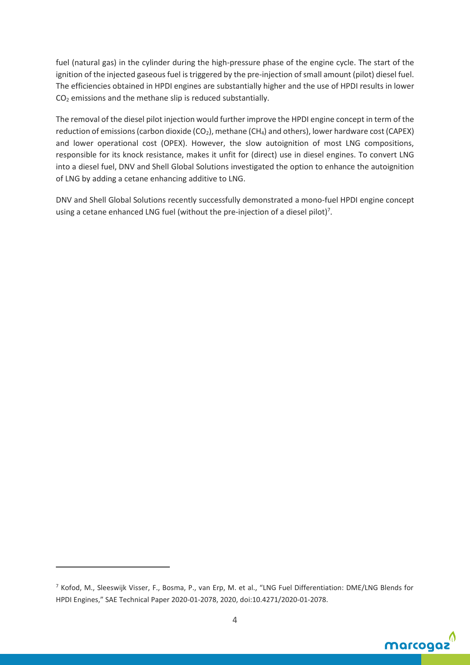fuel (natural gas) in the cylinder during the high-pressure phase of the engine cycle. The start of the ignition of the injected gaseous fuel is triggered by the pre-injection of small amount (pilot) diesel fuel. The efficiencies obtained in HPDI engines are substantially higher and the use of HPDI results in lower CO<sup>2</sup> emissions and the methane slip is reduced substantially.

The removal of the diesel pilot injection would further improve the HPDI engine concept in term of the reduction of emissions (carbon dioxide  $(CO_2)$ , methane  $(CH_4)$  and others), lower hardware cost (CAPEX) and lower operational cost (OPEX). However, the slow autoignition of most LNG compositions, responsible for its knock resistance, makes it unfit for (direct) use in diesel engines. To convert LNG into a diesel fuel, DNV and Shell Global Solutions investigated the option to enhance the autoignition of LNG by adding a cetane enhancing additive to LNG.

DNV and Shell Global Solutions recently successfully demonstrated a mono-fuel HPDI engine concept using a cetane enhanced LNG fuel (without the pre-injection of a diesel pilot)<sup>7</sup>.

<sup>7</sup> Kofod, M., Sleeswijk Visser, F., Bosma, P., van Erp, M. et al., "LNG Fuel Differentiation: DME/LNG Blends for HPDI Engines," SAE Technical Paper 2020-01-2078, 2020, doi:10.4271/2020-01-2078.